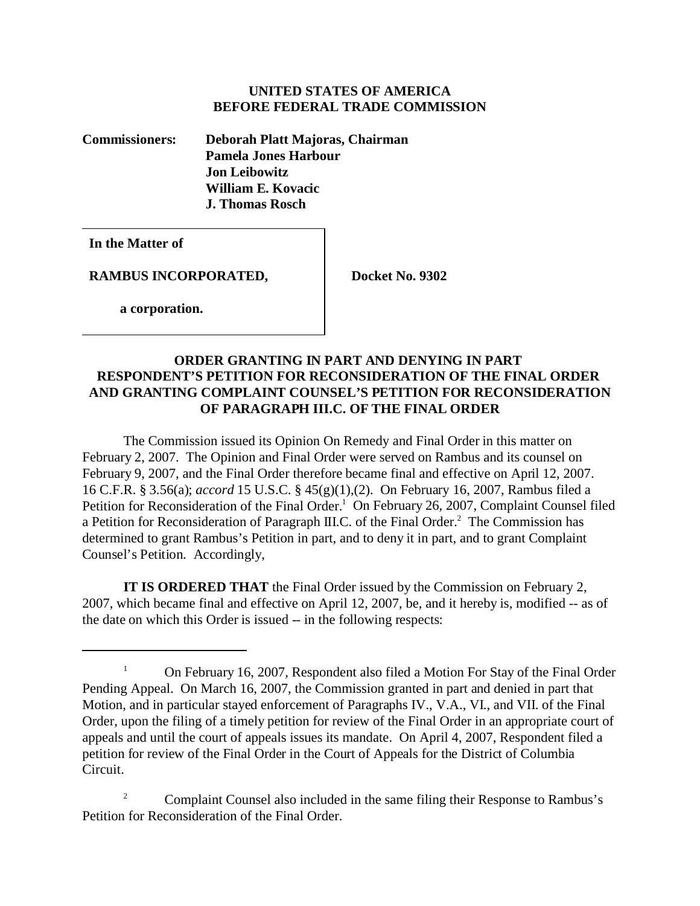### **UNITED STATES OF AMERICA BEFORE FEDERAL TRADE COMMISSION**

**Commissioners: Deborah Platt Majoras, Chairman Pamela Jones Harbour Jon Leibowitz William E. Kovacic J. Thomas Rosch** 

**In the Matter of**

**RAMBUS INCORPORATED, Docket No. 9302** 

 **a corporation.**

# **ORDER GRANTING IN PART AND DENYING IN PART RESPONDENT'S PETITION FOR RECONSIDERATION OF THE FINAL ORDER AND GRANTING COMPLAINT COUNSEL'S PETITION FOR RECONSIDERATION OF PARAGRAPH III.C. OF THE FINAL ORDER**

The Commission issued its Opinion On Remedy and Final Order in this matter on February 2, 2007. The Opinion and Final Order were served on Rambus and its counsel on February 9, 2007, and the Final Order therefore became final and effective on April 12, 2007. 16 C.F.R. § 3.56(a); *accord* 15 U.S.C. § 45(g)(1),(2). On February 16, 2007, Rambus filed a Petition for Reconsideration of the Final Order.<sup>1</sup> On February 26, 2007, Complaint Counsel filed a Petition for Reconsideration of Paragraph III.C. of the Final Order.<sup>2</sup> The Commission has determined to grant Rambus's Petition in part, and to deny it in part, and to grant Complaint Counsel's Petition. Accordingly,

**IT IS ORDERED THAT** the Final Order issued by the Commission on February 2, 2007, which became final and effective on April 12, 2007, be, and it hereby is, modified -- as of the date on which this Order is issued -- in the following respects:

<sup>&</sup>lt;sup>1</sup> On February 16, 2007, Respondent also filed a Motion For Stay of the Final Order Pending Appeal. On March 16, 2007, the Commission granted in part and denied in part that Motion, and in particular stayed enforcement of Paragraphs IV., V.A., VI., and VII. of the Final Order, upon the filing of a timely petition for review of the Final Order in an appropriate court of appeals and until the court of appeals issues its mandate. On April 4, 2007, Respondent filed a petition for review of the Final Order in the Court of Appeals for the District of Columbia Circuit.

<sup>&</sup>lt;sup>2</sup> Complaint Counsel also included in the same filing their Response to Rambus's Petition for Reconsideration of the Final Order.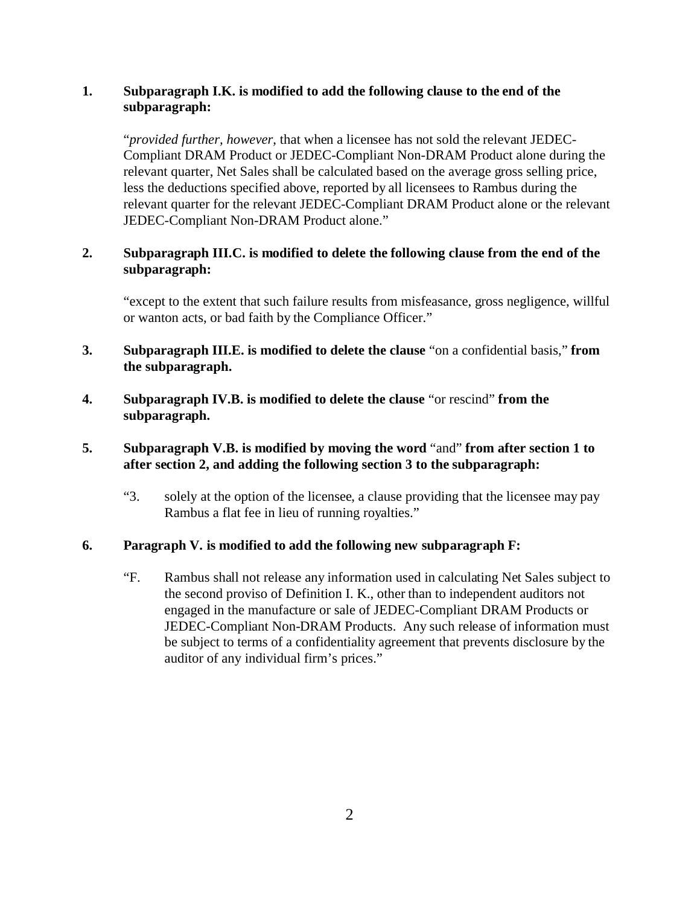# **1. Subparagraph I.K. is modified to add the following clause to the end of the subparagraph:**

"*provided further, however*, that when a licensee has not sold the relevant JEDEC-Compliant DRAM Product or JEDEC-Compliant Non-DRAM Product alone during the relevant quarter, Net Sales shall be calculated based on the average gross selling price, less the deductions specified above, reported by all licensees to Rambus during the relevant quarter for the relevant JEDEC-Compliant DRAM Product alone or the relevant JEDEC-Compliant Non-DRAM Product alone."

# **2. Subparagraph III.C. is modified to delete the following clause from the end of the subparagraph:**

"except to the extent that such failure results from misfeasance, gross negligence, willful or wanton acts, or bad faith by the Compliance Officer."

- **3. Subparagraph III.E. is modified to delete the clause** "on a confidential basis," **from the subparagraph.**
- **4. Subparagraph IV.B. is modified to delete the clause** "or rescind" **from the subparagraph.**

# **5. Subparagraph V.B. is modified by moving the word** "and" **from after section 1 to after section 2, and adding the following section 3 to the subparagraph:**

"3. solely at the option of the licensee, a clause providing that the licensee may pay Rambus a flat fee in lieu of running royalties."

## **6. Paragraph V. is modified to add the following new subparagraph F:**

"F. Rambus shall not release any information used in calculating Net Sales subject to the second proviso of Definition I. K., other than to independent auditors not engaged in the manufacture or sale of JEDEC-Compliant DRAM Products or JEDEC-Compliant Non-DRAM Products. Any such release of information must be subject to terms of a confidentiality agreement that prevents disclosure by the auditor of any individual firm's prices."